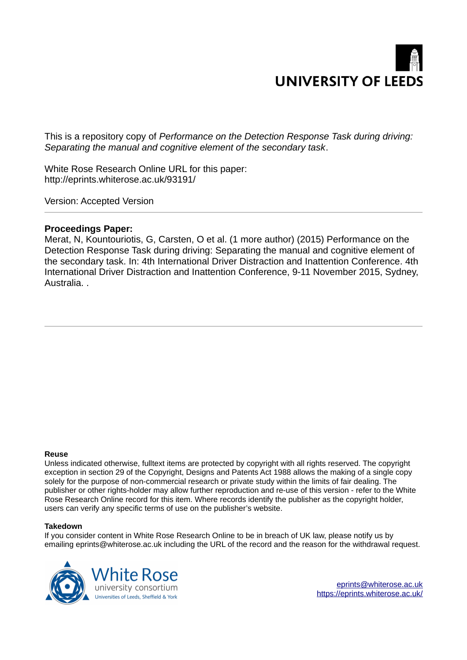

This is a repository copy of *Performance on the Detection Response Task during driving: Separating the manual and cognitive element of the secondary task*.

White Rose Research Online URL for this paper: http://eprints.whiterose.ac.uk/93191/

Version: Accepted Version

#### **Proceedings Paper:**

Merat, N, Kountouriotis, G, Carsten, O et al. (1 more author) (2015) Performance on the Detection Response Task during driving: Separating the manual and cognitive element of the secondary task. In: 4th International Driver Distraction and Inattention Conference. 4th International Driver Distraction and Inattention Conference, 9-11 November 2015, Sydney, Australia. .

#### **Reuse**

Unless indicated otherwise, fulltext items are protected by copyright with all rights reserved. The copyright exception in section 29 of the Copyright, Designs and Patents Act 1988 allows the making of a single copy solely for the purpose of non-commercial research or private study within the limits of fair dealing. The publisher or other rights-holder may allow further reproduction and re-use of this version - refer to the White Rose Research Online record for this item. Where records identify the publisher as the copyright holder, users can verify any specific terms of use on the publisher's website.

#### **Takedown**

If you consider content in White Rose Research Online to be in breach of UK law, please notify us by emailing eprints@whiterose.ac.uk including the URL of the record and the reason for the withdrawal request.

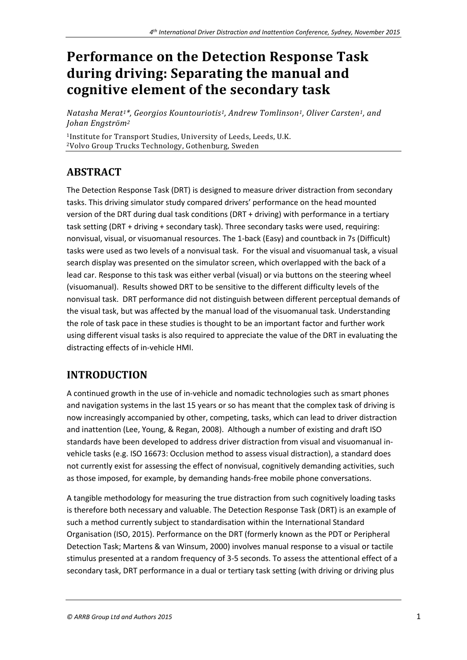# **Performance on the Detection Response Task during driving: Separating the manual and cognitive element of the secondary task**

*Natasha Merat1\*, Georgios Kountouriotis1, Andrew Tomlinson1, Oliver Carsten1, and Johan Engstrˆm<sup>2</sup>*

<sup>1</sup>Institute for Transport Studies, University of Leeds, Leeds, U.K. <sup>2</sup>Volvo Group Trucks Technology, Gothenburg, Sweden

# **ABSTRACT**

The Detection Response Task (DRT) is designed to measure driver distraction from secondary tasks. This driving simulator study compared drivers' performance on the head mounted version of the DRT during dual task conditions (DRT + driving) with performance in a tertiary task setting (DRT + driving + secondary task). Three secondary tasks were used, requiring: nonvisual, visual, or visuomanual resources. The 1-back (Easy) and countback in 7s (Difficult) tasks were used as two levels of a nonvisual task. For the visual and visuomanual task, a visual search display was presented on the simulator screen, which overlapped with the back of a lead car. Response to this task was either verbal (visual) or via buttons on the steering wheel (visuomanual). Results showed DRT to be sensitive to the different difficulty levels of the nonvisual task. DRT performance did not distinguish between different perceptual demands of the visual task, but was affected by the manual load of the visuomanual task. Understanding the role of task pace in these studies is thought to be an important factor and further work using different visual tasks is also required to appreciate the value of the DRT in evaluating the distracting effects of in-vehicle HMI.

# **INTRODUCTION**

A continued growth in the use of in-vehicle and nomadic technologies such as smart phones and navigation systems in the last 15 years or so has meant that the complex task of driving is now increasingly accompanied by other, competing, tasks, which can lead to driver distraction and inattention (Lee, Young, & Regan, 2008). Although a number of existing and draft ISO standards have been developed to address driver distraction from visual and visuomanual invehicle tasks (e.g. ISO 16673: Occlusion method to assess visual distraction), a standard does not currently exist for assessing the effect of nonvisual, cognitively demanding activities, such as those imposed, for example, by demanding hands-free mobile phone conversations.

A tangible methodology for measuring the true distraction from such cognitively loading tasks is therefore both necessary and valuable. The Detection Response Task (DRT) is an example of such a method currently subject to standardisation within the International Standard Organisation (ISO, 2015). Performance on the DRT (formerly known as the PDT or Peripheral Detection Task; Martens & van Winsum, 2000) involves manual response to a visual or tactile stimulus presented at a random frequency of 3-5 seconds. To assess the attentional effect of a secondary task, DRT performance in a dual or tertiary task setting (with driving or driving plus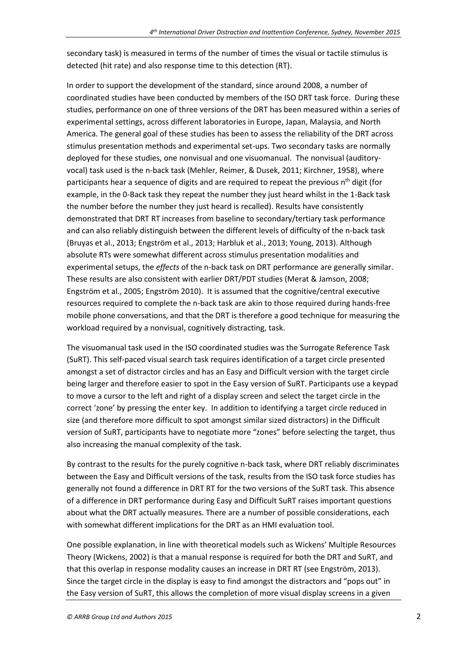secondary task) is measured in terms of the number of times the visual or tactile stimulus is detected (hit rate) and also response time to this detection (RT).

In order to support the development of the standard, since around 2008, a number of coordinated studies have been conducted by members of the ISO DRT task force. During these studies, performance on one of three versions of the DRT has been measured within a series of experimental settings, across different laboratories in Europe, Japan, Malaysia, and North America. The general goal of these studies has been to assess the reliability of the DRT across stimulus presentation methods and experimental set-ups. Two secondary tasks are normally deployed for these studies, one nonvisual and one visuomanual. The nonvisual (auditoryvocal) task used is the n-back task (Mehler, Reimer, & Dusek, 2011; Kirchner, 1958), where participants hear a sequence of digits and are required to repeat the previous  $n<sup>th</sup>$  digit (for example, in the 0-Back task they repeat the number they just heard whilst in the 1-Back task the number before the number they just heard is recalled). Results have consistently demonstrated that DRT RT increases from baseline to secondary/tertiary task performance and can also reliably distinguish between the different levels of difficulty of the n-back task (Bruyas et al., 2013; Engström et al., 2013; Harbluk et al., 2013; Young, 2013). Although absolute RTs were somewhat different across stimulus presentation modalities and experimental setups, the *effects* of the n-back task on DRT performance are generally similar. These results are also consistent with earlier DRT/PDT studies (Merat & Jamson, 2008; Engström et al., 2005; Engström 2010). It is assumed that the cognitive/central executive resources required to complete the n-back task are akin to those required during hands-free mobile phone conversations, and that the DRT is therefore a good technique for measuring the workload required by a nonvisual, cognitively distracting, task.

The visuomanual task used in the ISO coordinated studies was the Surrogate Reference Task (SuRT). This self-paced visual search task requires identification of a target circle presented amongst a set of distractor circles and has an Easy and Difficult version with the target circle being larger and therefore easier to spot in the Easy version of SuRT. Participants use a keypad to move a cursor to the left and right of a display screen and select the target circle in the correct 'zone' by pressing the enter key. In addition to identifying a target circle reduced in size (and therefore more difficult to spot amongst similar sized distractors) in the Difficult version of SuRT, participants have to negotiate more "zones" before selecting the target, thus also increasing the manual complexity of the task.

By contrast to the results for the purely cognitive n-back task, where DRT reliably discriminates between the Easy and Difficult versions of the task, results from the ISO task force studies has generally not found a difference in DRT RT for the two versions of the SuRT task. This absence of a difference in DRT performance during Easy and Difficult SuRT raises important questions about what the DRT actually measures. There are a number of possible considerations, each with somewhat different implications for the DRT as an HMI evaluation tool.

One possible explanation, in line with theoretical models such as Wickens' Multiple Resources Theory (Wickens, 2002) is that a manual response is required for both the DRT and SuRT, and that this overlap in response modality causes an increase in DRT RT (see Engström, 2013). Since the target circle in the display is easy to find amongst the distractors and "pops out" in the Easy version of SuRT, this allows the completion of more visual display screens in a given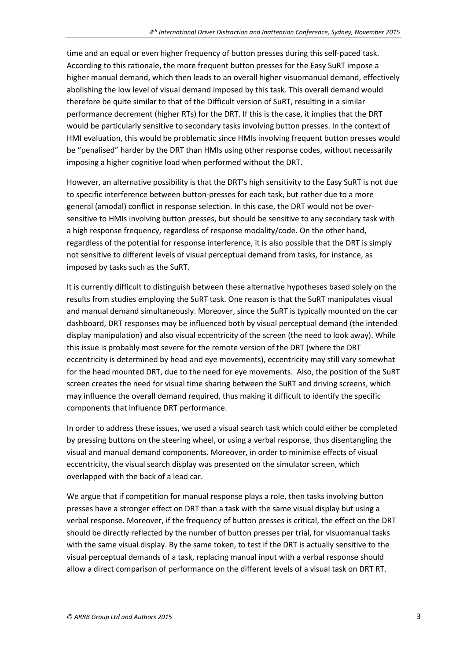time and an equal or even higher frequency of button presses during this self-paced task. According to this rationale, the more frequent button presses for the Easy SuRT impose a higher manual demand, which then leads to an overall higher visuomanual demand, effectively abolishing the low level of visual demand imposed by this task. This overall demand would therefore be quite similar to that of the Difficult version of SuRT, resulting in a similar performance decrement (higher RTs) for the DRT. If this is the case, it implies that the DRT would be particularly sensitive to secondary tasks involving button presses. In the context of HMI evaluation, this would be problematic since HMIs involving frequent button presses would be "penalised" harder by the DRT than HMIs using other response codes, without necessarily imposing a higher cognitive load when performed without the DRT.

However, an alternative possibility is that the DRT's high sensitivity to the Easy SuRT is not due to specific interference between button-presses for each task, but rather due to a more general (amodal) conflict in response selection. In this case, the DRT would not be oversensitive to HMIs involving button presses, but should be sensitive to any secondary task with a high response frequency, regardless of response modality/code. On the other hand, regardless of the potential for response interference, it is also possible that the DRT is simply not sensitive to different levels of visual perceptual demand from tasks, for instance, as imposed by tasks such as the SuRT.

It is currently difficult to distinguish between these alternative hypotheses based solely on the results from studies employing the SuRT task. One reason is that the SuRT manipulates visual and manual demand simultaneously. Moreover, since the SuRT is typically mounted on the car dashboard, DRT responses may be influenced both by visual perceptual demand (the intended display manipulation) and also visual eccentricity of the screen (the need to look away). While this issue is probably most severe for the remote version of the DRT (where the DRT eccentricity is determined by head and eye movements), eccentricity may still vary somewhat for the head mounted DRT, due to the need for eye movements. Also, the position of the SuRT screen creates the need for visual time sharing between the SuRT and driving screens, which may influence the overall demand required, thus making it difficult to identify the specific components that influence DRT performance.

In order to address these issues, we used a visual search task which could either be completed by pressing buttons on the steering wheel, or using a verbal response, thus disentangling the visual and manual demand components. Moreover, in order to minimise effects of visual eccentricity, the visual search display was presented on the simulator screen, which overlapped with the back of a lead car.

We argue that if competition for manual response plays a role, then tasks involving button presses have a stronger effect on DRT than a task with the same visual display but using a verbal response. Moreover, if the frequency of button presses is critical, the effect on the DRT should be directly reflected by the number of button presses per trial, for visuomanual tasks with the same visual display. By the same token, to test if the DRT is actually sensitive to the visual perceptual demands of a task, replacing manual input with a verbal response should allow a direct comparison of performance on the different levels of a visual task on DRT RT.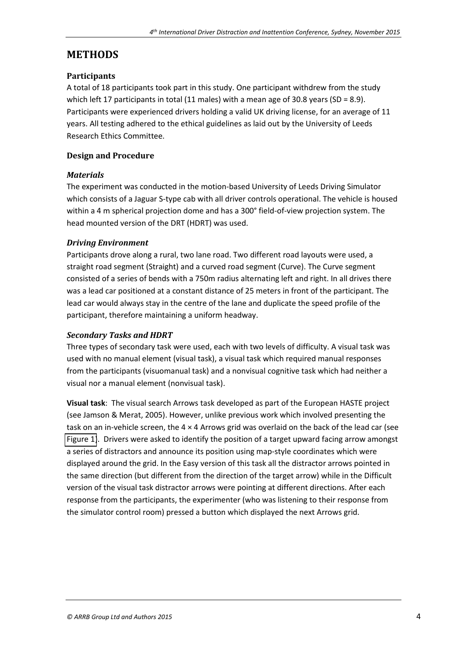### **METHODS**

#### **Participants**

A total of 18 participants took part in this study. One participant withdrew from the study which left 17 participants in total (11 males) with a mean age of 30.8 years (SD = 8.9). Participants were experienced drivers holding a valid UK driving license, for an average of 11 years. All testing adhered to the ethical guidelines as laid out by the University of Leeds Research Ethics Committee.

#### **Design and Procedure**

#### *Materials*

The experiment was conducted in the motion-based University of Leeds Driving Simulator which consists of a Jaguar S-type cab with all driver controls operational. The vehicle is housed within a 4 m spherical projection dome and has a 300° field-of-view projection system. The head mounted version of the DRT (HDRT) was used.

#### *Driving Environment*

<span id="page-4-0"></span>Participants drove along a rural, two lane road. Two different road layouts were used, a straight road segment (Straight) and a curved road segment (Curve). The Curve segment consisted of a series of bends with a 750m radius alternating left and right. In all drives there was a lead car positioned at a constant distance of 25 meters in front of the participant. The lead car would always stay in the centre of the lane and duplicate the speed profile of the participant, therefore maintaining a uniform headway.

#### *Secondary Tasks and HDRT*

Three types of secondary task were used, each with two levels of difficulty. A visual task was used with no manual element (visual task), a visual task which required manual responses from the participants (visuomanual task) and a nonvisual cognitive task which had neither a visual nor a manual element (nonvisual task).

**Visual task**: The visual search Arrows task developed as part of the European HASTE project (see Jamson & Merat, 2005). However, unlike previous work which involved presenting the task on an in-vehicle screen, the 4 × 4 Arrows grid was overlaid on the back of the lead car (see [Figure 1\)](#page-4-0). Drivers were asked to identify the position of a target upward facing arrow amongst a series of distractors and announce its position using map-style coordinates which were displayed around the grid. In the Easy version of this task all the distractor arrows pointed in the same direction (but different from the direction of the target arrow) while in the Difficult version of the visual task distractor arrows were pointing at different directions. After each response from the participants, the experimenter (who was listening to their response from the simulator control room) pressed a button which displayed the next Arrows grid.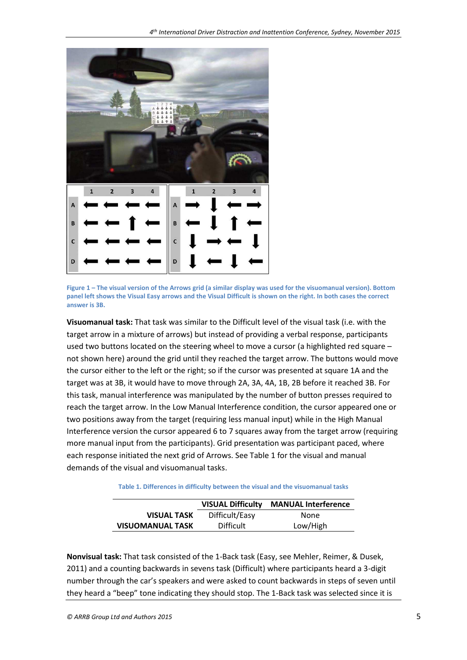

**Figure 1** – The visual version of the Arrows grid (a similar display was used for the visuomanual version). Bottom **panel left shows the Visual Easy arrows and the Visual Difficult is shown on the right. In both cases the correct answer is 3B.** 

**Visuomanual task:** That task was similar to the Difficult level of the visual task (i.e. with the target arrow in a mixture of arrows) but instead of providing a verbal response, participants used two buttons located on the steering wheel to move a cursor (a highlighted red square – not shown here) around the grid until they reached the target arrow. The buttons would move the cursor either to the left or the right; so if the cursor was presented at square 1A and the target was at 3B, it would have to move through 2A, 3A, 4A, 1B, 2B before it reached 3B. For this task, manual interference was manipulated by the number of button presses required to reach the target arrow. In the Low Manual Interference condition, the cursor appeared one or two positions away from the target (requiring less manual input) while in the High Manual Interference version the cursor appeared 6 to 7 squares away from the target arrow (requiring more manual input from the participants). Grid presentation was participant paced, where each response initiated the next grid of Arrows. See Table 1 for the visual and manual demands of the visual and visuomanual tasks.

**Table 1. Differences in difficulty between the visual and the visuomanual tasks** 

|                         |                  | <b>VISUAL Difficulty MANUAL Interference</b> |  |
|-------------------------|------------------|----------------------------------------------|--|
| <b>VISUAL TASK</b>      | Difficult/Easy   | <b>None</b>                                  |  |
| <b>VISUOMANUAL TASK</b> | <b>Difficult</b> | Low/High                                     |  |

**Nonvisual task:** That task consisted of the 1-Back task (Easy, see Mehler, Reimer, & Dusek, 2011) and a counting backwards in sevens task (Difficult) where participants heard a 3-digit number through the car's speakers and were asked to count backwards in steps of seven until they heard a "beep" tone indicating they should stop. The 1-Back task was selected since it is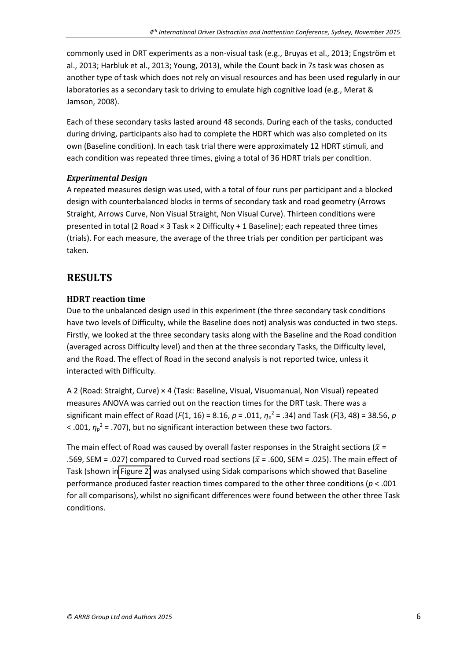commonly used in DRT experiments as a non-visual task (e.g., Bruyas et al., 2013; Engström et al., 2013; Harbluk et al., 2013; Young, 2013), while the Count back in 7s task was chosen as another type of task which does not rely on visual resources and has been used regularly in our laboratories as a secondary task to driving to emulate high cognitive load (e.g., Merat & Jamson, 2008).

Each of these secondary tasks lasted around 48 seconds. During each of the tasks, conducted during driving, participants also had to complete the HDRT which was also completed on its own (Baseline condition). In each task trial there were approximately 12 HDRT stimuli, and each condition was repeated three times, giving a total of 36 HDRT trials per condition.

#### *Experimental Design*

<span id="page-6-0"></span>A repeated measures design was used, with a total of four runs per participant and a blocked design with counterbalanced blocks in terms of secondary task and road geometry (Arrows Straight, Arrows Curve, Non Visual Straight, Non Visual Curve). Thirteen conditions were presented in total (2 Road × 3 Task × 2 Difficulty + 1 Baseline); each repeated three times (trials). For each measure, the average of the three trials per condition per participant was taken.

### **RESULTS**

#### **HDRT reaction time**

Due to the unbalanced design used in this experiment (the three secondary task conditions have two levels of Difficulty, while the Baseline does not) analysis was conducted in two steps. Firstly, we looked at the three secondary tasks along with the Baseline and the Road condition (averaged across Difficulty level) and then at the three secondary Tasks, the Difficulty level, and the Road. The effect of Road in the second analysis is not reported twice, unless it interacted with Difficulty.

A 2 (Road: Straight, Curve) × 4 (Task: Baseline, Visual, Visuomanual, Non Visual) repeated measures ANOVA was carried out on the reaction times for the DRT task. There was a significant main effect of Road ( $F(1, 16) = 8.16$ ,  $p = .011$ ,  $\eta_p^2 = .34$ ) and Task ( $F(3, 48) = 38.56$ ,  $p$  $<$  .001,  $\eta_p^2$  = .707), but no significant interaction between these two factors.

The main effect of Road was caused by overall faster responses in the Straight sections ( $\bar{x}$  = .569, SEM = .027) compared to Curved road sections ( $\bar{x}$  = .600, SEM = .025). The main effect of Task (shown i[n Figure 2\)](#page-6-0) was analysed using Sidak comparisons which showed that Baseline performance produced faster reaction times compared to the other three conditions (*p* < .001 for all comparisons), whilst no significant differences were found between the other three Task conditions.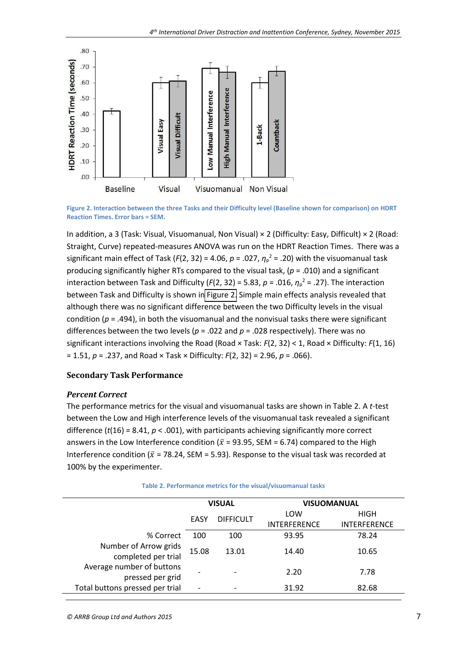

**Figure 2. Interaction between the three Tasks and their Difficulty level (Baseline shown for comparison) on HDRT Reaction Times. Error bars = SEM.** 

In addition, a 3 (Task: Visual, Visuomanual, Non Visual) × 2 (Difficulty: Easy, Difficult) × 2 (Road: Straight, Curve) repeated-measures ANOVA was run on the HDRT Reaction Times. There was a significant main effect of Task ( $F(2, 32) = 4.06$ ,  $p = .027$ ,  $\eta_p^2 = .20$ ) with the visuomanual task producing significantly higher RTs compared to the visual task, (*p* = .010) and a significant interaction between Task and Difficulty ( $F(2, 32) = 5.83$ ,  $p = .016$ ,  $\eta_p^2 = .27$ ). The interaction between Task and Difficulty is shown i[n Figure 2.](#page-6-0) Simple main effects analysis revealed that although there was no significant difference between the two Difficulty levels in the visual condition (*p* = .494), in both the visuomanual and the nonvisual tasks there were significant differences between the two levels (*p* = .022 and *p* = .028 respectively). There was no significant interactions involving the Road (Road × Task: *F*(2, 32) < 1, Road × Difficulty: *F*(1, 16) = 1.51, *p* = .237, and Road × Task × Difficulty: *F*(2, 32) = 2.96, *p* = .066).

#### **Secondary Task Performance**

#### *Percent Correct*

The performance metrics for the visual and visuomanual tasks are shown in Table 2. A *t*-test between the Low and High interference levels of the visuomanual task revealed a significant difference  $(t(16) = 8.41, p < .001)$ , with participants achieving significantly more correct answers in the Low Interference condition ( $\bar{x}$  = 93.95, SEM = 6.74) compared to the High Interference condition ( $\bar{x}$  = 78.24, SEM = 5.93). Response to the visual task was recorded at 100% by the experimenter.

|                                               | <b>VISUAL</b>            |                  | <b>VISUOMANUAL</b>  |                     |
|-----------------------------------------------|--------------------------|------------------|---------------------|---------------------|
|                                               | EASY                     | <b>DIFFICULT</b> | LOW                 | <b>HIGH</b>         |
|                                               |                          |                  | <b>INTERFERENCE</b> | <b>INTERFERENCE</b> |
| % Correct                                     | 100                      | 100              | 93.95               | 78.24               |
| Number of Arrow grids<br>completed per trial  | 15.08                    | 13.01            | 14.40               | 10.65               |
| Average number of buttons<br>pressed per grid |                          | $\qquad \qquad$  | 2.20                | 7.78                |
| Total buttons pressed per trial               | $\overline{\phantom{0}}$ |                  | 31.92               | 82.68               |
|                                               |                          |                  |                     |                     |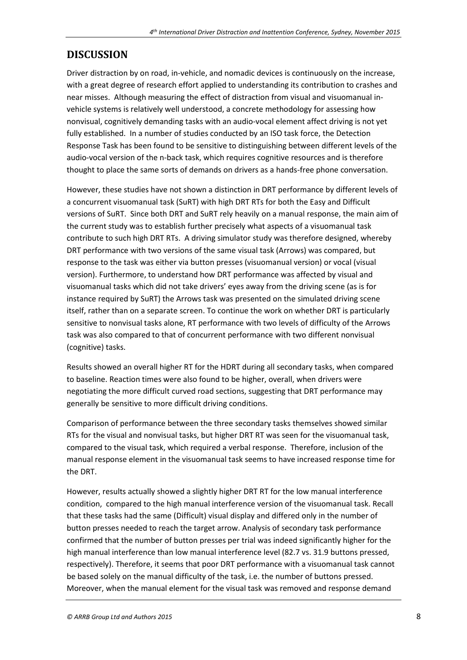# **DISCUSSION**

Driver distraction by on road, in-vehicle, and nomadic devices is continuously on the increase, with a great degree of research effort applied to understanding its contribution to crashes and near misses. Although measuring the effect of distraction from visual and visuomanual invehicle systems is relatively well understood, a concrete methodology for assessing how nonvisual, cognitively demanding tasks with an audio-vocal element affect driving is not yet fully established. In a number of studies conducted by an ISO task force, the Detection Response Task has been found to be sensitive to distinguishing between different levels of the audio-vocal version of the n-back task, which requires cognitive resources and is therefore thought to place the same sorts of demands on drivers as a hands-free phone conversation.

However, these studies have not shown a distinction in DRT performance by different levels of a concurrent visuomanual task (SuRT) with high DRT RTs for both the Easy and Difficult versions of SuRT. Since both DRT and SuRT rely heavily on a manual response, the main aim of the current study was to establish further precisely what aspects of a visuomanual task contribute to such high DRT RTs. A driving simulator study was therefore designed, whereby DRT performance with two versions of the same visual task (Arrows) was compared, but response to the task was either via button presses (visuomanual version) or vocal (visual version). Furthermore, to understand how DRT performance was affected by visual and visuomanual tasks which did not take drivers' eyes away from the driving scene (as is for instance required by SuRT) the Arrows task was presented on the simulated driving scene itself, rather than on a separate screen. To continue the work on whether DRT is particularly sensitive to nonvisual tasks alone, RT performance with two levels of difficulty of the Arrows task was also compared to that of concurrent performance with two different nonvisual (cognitive) tasks.

Results showed an overall higher RT for the HDRT during all secondary tasks, when compared to baseline. Reaction times were also found to be higher, overall, when drivers were negotiating the more difficult curved road sections, suggesting that DRT performance may generally be sensitive to more difficult driving conditions.

Comparison of performance between the three secondary tasks themselves showed similar RTs for the visual and nonvisual tasks, but higher DRT RT was seen for the visuomanual task, compared to the visual task, which required a verbal response. Therefore, inclusion of the manual response element in the visuomanual task seems to have increased response time for the DRT.

However, results actually showed a slightly higher DRT RT for the low manual interference condition, compared to the high manual interference version of the visuomanual task. Recall that these tasks had the same (Difficult) visual display and differed only in the number of button presses needed to reach the target arrow. Analysis of secondary task performance confirmed that the number of button presses per trial was indeed significantly higher for the high manual interference than low manual interference level (82.7 vs. 31.9 buttons pressed, respectively). Therefore, it seems that poor DRT performance with a visuomanual task cannot be based solely on the manual difficulty of the task, i.e. the number of buttons pressed. Moreover, when the manual element for the visual task was removed and response demand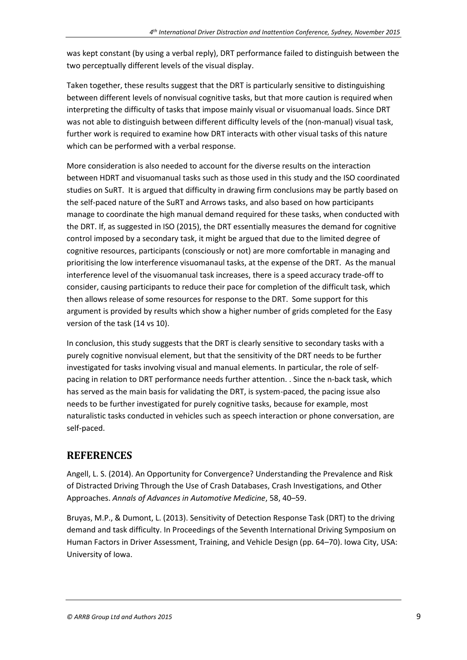was kept constant (by using a verbal reply), DRT performance failed to distinguish between the two perceptually different levels of the visual display.

Taken together, these results suggest that the DRT is particularly sensitive to distinguishing between different levels of nonvisual cognitive tasks, but that more caution is required when interpreting the difficulty of tasks that impose mainly visual or visuomanual loads. Since DRT was not able to distinguish between different difficulty levels of the (non-manual) visual task, further work is required to examine how DRT interacts with other visual tasks of this nature which can be performed with a verbal response.

More consideration is also needed to account for the diverse results on the interaction between HDRT and visuomanual tasks such as those used in this study and the ISO coordinated studies on SuRT. It is argued that difficulty in drawing firm conclusions may be partly based on the self-paced nature of the SuRT and Arrows tasks, and also based on how participants manage to coordinate the high manual demand required for these tasks, when conducted with the DRT. If, as suggested in ISO (2015), the DRT essentially measures the demand for cognitive control imposed by a secondary task, it might be argued that due to the limited degree of cognitive resources, participants (consciously or not) are more comfortable in managing and prioritising the low interference visuomanaul tasks, at the expense of the DRT. As the manual interference level of the visuomanual task increases, there is a speed accuracy trade-off to consider, causing participants to reduce their pace for completion of the difficult task, which then allows release of some resources for response to the DRT. Some support for this argument is provided by results which show a higher number of grids completed for the Easy version of the task (14 vs 10).

In conclusion, this study suggests that the DRT is clearly sensitive to secondary tasks with a purely cognitive nonvisual element, but that the sensitivity of the DRT needs to be further investigated for tasks involving visual and manual elements. In particular, the role of selfpacing in relation to DRT performance needs further attention. . Since the n-back task, which has served as the main basis for validating the DRT, is system-paced, the pacing issue also needs to be further investigated for purely cognitive tasks, because for example, most naturalistic tasks conducted in vehicles such as speech interaction or phone conversation, are self-paced.

# **REFERENCES**

Angell, L. S. (2014). An Opportunity for Convergence? Understanding the Prevalence and Risk of Distracted Driving Through the Use of Crash Databases, Crash Investigations, and Other Approaches. Annals of Advances in Automotive Medicine, 58, 40-59.

Bruyas, M.P., & Dumont, L. (2013). Sensitivity of Detection Response Task (DRT) to the driving demand and task difficulty. In Proceedings of the Seventh International Driving Symposium on Human Factors in Driver Assessment, Training, and Vehicle Design (pp. 64-70). Iowa City, USA: University of Iowa.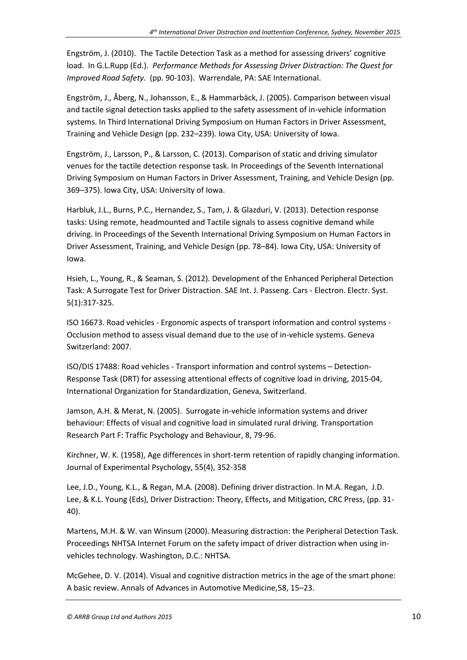Engström, J. (2010). The Tactile Detection Task as a method for assessing drivers' cognitive load. In G.L.Rupp (Ed.). *Performance Methods for Assessing Driver Distraction: The Quest for Improved Road Safety*. (pp. 90-103). Warrendale, PA: SAE International.

Engström, J., Åberg, N., Johansson, E., & Hammarbäck, J. (2005). Comparison between visual and tactile signal detection tasks applied to the safety assessment of in-vehicle information systems. In Third International Driving Symposium on Human Factors in Driver Assessment, Training and Vehicle Design (pp. 232–239). Iowa City, USA: University of Iowa.

Engström, J., Larsson, P., & Larsson, C. (2013). Comparison of static and driving simulator venues for the tactile detection response task. In Proceedings of the Seventh International Driving Symposium on Human Factors in Driver Assessment, Training, and Vehicle Design (pp. 369-375). Iowa City, USA: University of Iowa.

Harbluk, J.L., Burns, P.C., Hernandez, S., Tam, J. & Glazduri, V. (2013). Detection response tasks: Using remote, headmounted and Tactile signals to assess cognitive demand while driving. In Proceedings of the Seventh International Driving Symposium on Human Factors in Driver Assessment, Training, and Vehicle Design (pp. 78–84). Iowa City, USA: University of Iowa.

Hsieh, L., Young, R., & Seaman, S. (2012). Development of the Enhanced Peripheral Detection Task: A Surrogate Test for Driver Distraction. SAE Int. J. Passeng. Cars - Electron. Electr. Syst. 5(1):317-325.

ISO 16673. Road vehicles - Ergonomic aspects of transport information and control systems - Occlusion method to assess visual demand due to the use of in-vehicle systems. Geneva Switzerland: 2007.

ISO/DIS 17488: Road vehicles - Transport information and control systems – Detection-Response Task (DRT) for assessing attentional effects of cognitive load in driving, 2015-04, International Organization for Standardization, Geneva, Switzerland.

Jamson, A.H. & Merat, N. (2005). Surrogate in-vehicle information systems and driver behaviour: Effects of visual and cognitive load in simulated rural driving. Transportation Research Part F: Traffic Psychology and Behaviour, 8, 79-96.

Kirchner, W. K. (1958), Age differences in short-term retention of rapidly changing information. Journal of Experimental Psychology, 55(4), 352-358

Lee, J.D., Young, K.L., & Regan, M.A. (2008). Defining driver distraction. In M.A. Regan, J.D. Lee, & K.L. Young (Eds), Driver Distraction: Theory, Effects, and Mitigation, CRC Press, (pp. 31- 40).

Martens, M.H. & W. van Winsum (2000). Measuring distraction: the Peripheral Detection Task. Proceedings NHTSA Internet Forum on the safety impact of driver distraction when using invehicles technology. Washington, D.C.: NHTSA.

McGehee, D. V. (2014). Visual and cognitive distraction metrics in the age of the smart phone: A basic review. Annals of Advances in Automotive Medicine, 58, 15-23.